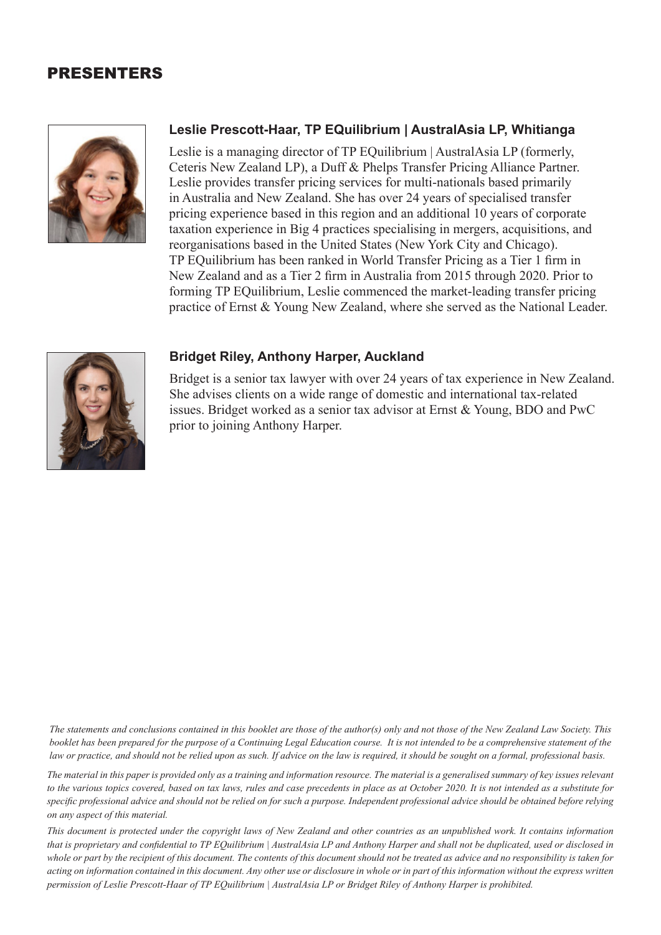## PRESENTERS



## **Leslie Prescott-Haar, TP EQuilibrium | AustralAsia LP, Whitianga**

Leslie is a managing director of TP EQuilibrium | AustralAsia LP (formerly, Ceteris New Zealand LP), a Duff & Phelps Transfer Pricing Alliance Partner. Leslie provides transfer pricing services for multi-nationals based primarily in Australia and New Zealand. She has over 24 years of specialised transfer pricing experience based in this region and an additional 10 years of corporate taxation experience in Big 4 practices specialising in mergers, acquisitions, and reorganisations based in the United States (New York City and Chicago). TP EQuilibrium has been ranked in World Transfer Pricing as a Tier 1 firm in New Zealand and as a Tier 2 firm in Australia from 2015 through 2020. Prior to forming TP EQuilibrium, Leslie commenced the market-leading transfer pricing practice of Ernst & Young New Zealand, where she served as the National Leader.



## **Bridget Riley, Anthony Harper, Auckland**

Bridget is a senior tax lawyer with over 24 years of tax experience in New Zealand. She advises clients on a wide range of domestic and international tax-related issues. Bridget worked as a senior tax advisor at Ernst & Young, BDO and PwC prior to joining Anthony Harper.

*The statements and conclusions contained in this booklet are those of the author(s) only and not those of the New Zealand Law Society. This*  booklet has been prepared for the purpose of a Continuing Legal Education course. It is not intended to be a comprehensive statement of the *law or practice, and should not be relied upon as such. If advice on the law is required, it should be sought on a formal, professional basis.* 

*The material in this paper is provided only as a training and information resource. The material is a generalised summary of key issues relevant to the various topics covered, based on tax laws, rules and case precedents in place as at October 2020. It is not intended as a substitute for specific professional advice and should not be relied on for such a purpose. Independent professional advice should be obtained before relying on any aspect of this material.*

*This document is protected under the copyright laws of New Zealand and other countries as an unpublished work. It contains information that is proprietary and confidential to TP EQuilibrium | AustralAsia LP and Anthony Harper and shall not be duplicated, used or disclosed in whole or part by the recipient of this document. The contents of this document should not be treated as advice and no responsibility is taken for acting on information contained in this document. Any other use or disclosure in whole or in part of this information without the express written permission of Leslie Prescott-Haar of TP EQuilibrium | AustralAsia LP or Bridget Riley of Anthony Harper is prohibited.*